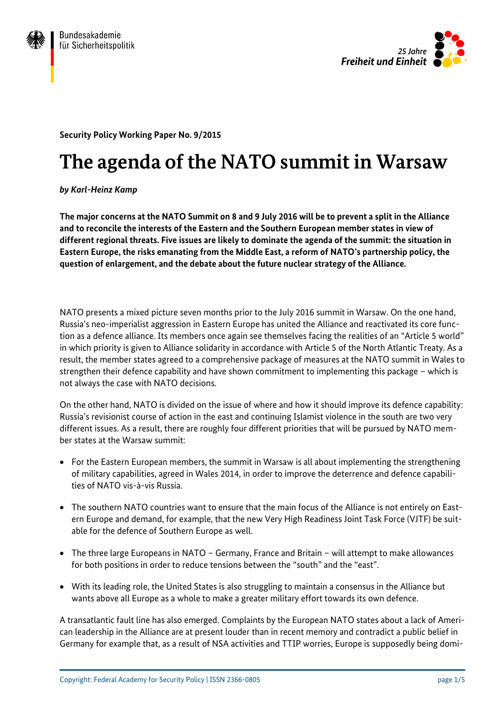



**Security Policy Working Paper No. 9/2015**

# **The agenda of the NATO summit in Warsaw**

*by Karl-Heinz Kamp*

**The major concerns at the NATO Summit on 8 and 9 July 2016 will be to prevent a split in the Alliance and to reconcile the interests of the Eastern and the Southern European member states in view of different regional threats. Five issues are likely to dominate the agenda of the summit: the situation in Eastern Europe, the risks emanating from the Middle East, a reform of NATO's partnership policy, the question of enlargement, and the debate about the future nuclear strategy of the Alliance.**

NATO presents a mixed picture seven months prior to the July 2016 summit in Warsaw. On the one hand, Russia's neo-imperialist aggression in Eastern Europe has united the Alliance and reactivated its core function as a defence alliance. Its members once again see themselves facing the realities of an "Article 5 world" in which priority is given to Alliance solidarity in accordance with Article 5 of the North Atlantic Treaty. As a result, the member states agreed to a comprehensive package of measures at the NATO summit in Wales to strengthen their defence capability and have shown commitment to implementing this package – which is not always the case with NATO decisions.

On the other hand, NATO is divided on the issue of where and how it should improve its defence capability: Russia's revisionist course of action in the east and continuing Islamist violence in the south are two very different issues. As a result, there are roughly four different priorities that will be pursued by NATO member states at the Warsaw summit:

- For the Eastern European members, the summit in Warsaw is all about implementing the strengthening of military capabilities, agreed in Wales 2014, in order to improve the deterrence and defence capabilities of NATO vis-à-vis Russia.
- The southern NATO countries want to ensure that the main focus of the Alliance is not entirely on Eastern Europe and demand, for example, that the new Very High Readiness Joint Task Force (VJTF) be suitable for the defence of Southern Europe as well.
- The three large Europeans in NATO Germany, France and Britain will attempt to make allowances for both positions in order to reduce tensions between the "south" and the "east".
- With its leading role, the United States is also struggling to maintain a consensus in the Alliance but wants above all Europe as a whole to make a greater military effort towards its own defence.

A transatlantic fault line has also emerged. Complaints by the European NATO states about a lack of American leadership in the Alliance are at present louder than in recent memory and contradict a public belief in Germany for example that, as a result of NSA activities and TTIP worries, Europe is supposedly being domi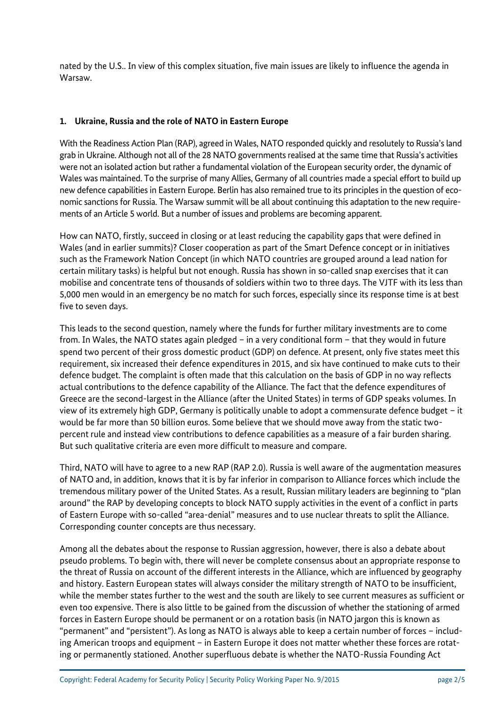nated by the U.S.. In view of this complex situation, five main issues are likely to influence the agenda in Warsaw.

#### **1. Ukraine, Russia and the role of NATO in Eastern Europe**

With the Readiness Action Plan (RAP), agreed in Wales, NATO responded quickly and resolutely to Russia's land grab in Ukraine. Although not all of the 28 NATO governments realised at the same time that Russia's activities were not an isolated action but rather a fundamental violation of the European security order, the dynamic of Wales was maintained. To the surprise of many Allies, Germany of all countries made a special effort to build up new defence capabilities in Eastern Europe. Berlin has also remained true to its principles in the question of economic sanctions for Russia. The Warsaw summit will be all about continuing this adaptation to the new requirements of an Article 5 world. But a number of issues and problems are becoming apparent.

How can NATO, firstly, succeed in closing or at least reducing the capability gaps that were defined in Wales (and in earlier summits)? Closer cooperation as part of the Smart Defence concept or in initiatives such as the Framework Nation Concept (in which NATO countries are grouped around a lead nation for certain military tasks) is helpful but not enough. Russia has shown in so-called snap exercises that it can mobilise and concentrate tens of thousands of soldiers within two to three days. The VJTF with its less than 5,000 men would in an emergency be no match for such forces, especially since its response time is at best five to seven days.

This leads to the second question, namely where the funds for further military investments are to come from. In Wales, the NATO states again pledged – in a very conditional form – that they would in future spend two percent of their gross domestic product (GDP) on defence. At present, only five states meet this requirement, six increased their defence expenditures in 2015, and six have continued to make cuts to their defence budget. The complaint is often made that this calculation on the basis of GDP in no way reflects actual contributions to the defence capability of the Alliance. The fact that the defence expenditures of Greece are the second-largest in the Alliance (after the United States) in terms of GDP speaks volumes. In view of its extremely high GDP, Germany is politically unable to adopt a commensurate defence budget – it would be far more than 50 billion euros. Some believe that we should move away from the static twopercent rule and instead view contributions to defence capabilities as a measure of a fair burden sharing. But such qualitative criteria are even more difficult to measure and compare.

Third, NATO will have to agree to a new RAP (RAP 2.0). Russia is well aware of the augmentation measures of NATO and, in addition, knows that it is by far inferior in comparison to Alliance forces which include the tremendous military power of the United States. As a result, Russian military leaders are beginning to "plan around" the RAP by developing concepts to block NATO supply activities in the event of a conflict in parts of Eastern Europe with so-called "area-denial" measures and to use nuclear threats to split the Alliance. Corresponding counter concepts are thus necessary.

Among all the debates about the response to Russian aggression, however, there is also a debate about pseudo problems. To begin with, there will never be complete consensus about an appropriate response to the threat of Russia on account of the different interests in the Alliance, which are influenced by geography and history. Eastern European states will always consider the military strength of NATO to be insufficient, while the member states further to the west and the south are likely to see current measures as sufficient or even too expensive. There is also little to be gained from the discussion of whether the stationing of armed forces in Eastern Europe should be permanent or on a rotation basis (in NATO jargon this is known as "permanent" and "persistent"). As long as NATO is always able to keep a certain number of forces – including American troops and equipment – in Eastern Europe it does not matter whether these forces are rotating or permanently stationed. Another superfluous debate is whether the NATO-Russia Founding Act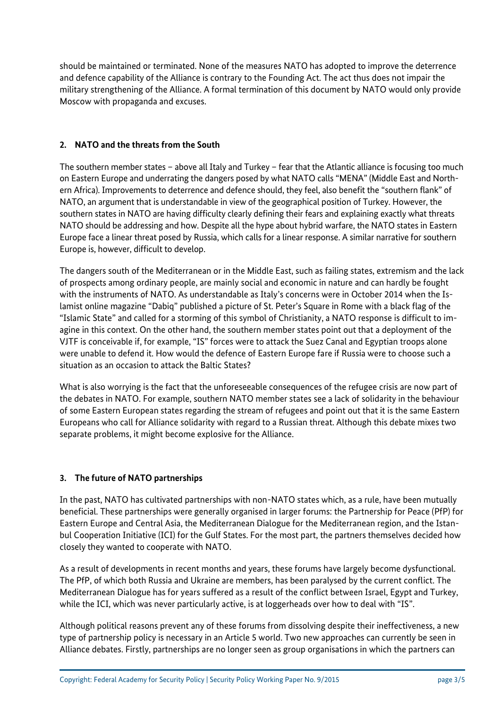should be maintained or terminated. None of the measures NATO has adopted to improve the deterrence and defence capability of the Alliance is contrary to the Founding Act. The act thus does not impair the military strengthening of the Alliance. A formal termination of this document by NATO would only provide Moscow with propaganda and excuses.

## **2. NATO and the threats from the South**

The southern member states – above all Italy and Turkey – fear that the Atlantic alliance is focusing too much on Eastern Europe and underrating the dangers posed by what NATO calls "MENA" (Middle East and Northern Africa). Improvements to deterrence and defence should, they feel, also benefit the "southern flank" of NATO, an argument that is understandable in view of the geographical position of Turkey. However, the southern states in NATO are having difficulty clearly defining their fears and explaining exactly what threats NATO should be addressing and how. Despite all the hype about hybrid warfare, the NATO states in Eastern Europe face a linear threat posed by Russia, which calls for a linear response. A similar narrative for southern Europe is, however, difficult to develop.

The dangers south of the Mediterranean or in the Middle East, such as failing states, extremism and the lack of prospects among ordinary people, are mainly social and economic in nature and can hardly be fought with the instruments of NATO. As understandable as Italy's concerns were in October 2014 when the Islamist online magazine "Dabiq" published a picture of St. Peter's Square in Rome with a black flag of the "Islamic State" and called for a storming of this symbol of Christianity, a NATO response is difficult to imagine in this context. On the other hand, the southern member states point out that a deployment of the VJTF is conceivable if, for example, "IS" forces were to attack the Suez Canal and Egyptian troops alone were unable to defend it. How would the defence of Eastern Europe fare if Russia were to choose such a situation as an occasion to attack the Baltic States?

What is also worrying is the fact that the unforeseeable consequences of the refugee crisis are now part of the debates in NATO. For example, southern NATO member states see a lack of solidarity in the behaviour of some Eastern European states regarding the stream of refugees and point out that it is the same Eastern Europeans who call for Alliance solidarity with regard to a Russian threat. Although this debate mixes two separate problems, it might become explosive for the Alliance.

## **3. The future of NATO partnerships**

In the past, NATO has cultivated partnerships with non-NATO states which, as a rule, have been mutually beneficial. These partnerships were generally organised in larger forums: the Partnership for Peace (PfP) for Eastern Europe and Central Asia, the Mediterranean Dialogue for the Mediterranean region, and the Istanbul Cooperation Initiative (ICI) for the Gulf States. For the most part, the partners themselves decided how closely they wanted to cooperate with NATO.

As a result of developments in recent months and years, these forums have largely become dysfunctional. The PfP, of which both Russia and Ukraine are members, has been paralysed by the current conflict. The Mediterranean Dialogue has for years suffered as a result of the conflict between Israel, Egypt and Turkey, while the ICI, which was never particularly active, is at loggerheads over how to deal with "IS".

Although political reasons prevent any of these forums from dissolving despite their ineffectiveness, a new type of partnership policy is necessary in an Article 5 world. Two new approaches can currently be seen in Alliance debates. Firstly, partnerships are no longer seen as group organisations in which the partners can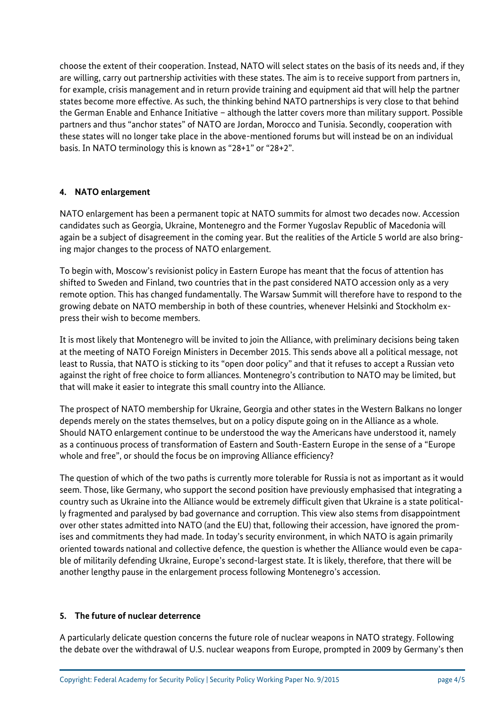choose the extent of their cooperation. Instead, NATO will select states on the basis of its needs and, if they are willing, carry out partnership activities with these states. The aim is to receive support from partners in, for example, crisis management and in return provide training and equipment aid that will help the partner states become more effective. As such, the thinking behind NATO partnerships is very close to that behind the German Enable and Enhance Initiative – although the latter covers more than military support. Possible partners and thus "anchor states" of NATO are Jordan, Morocco and Tunisia. Secondly, cooperation with these states will no longer take place in the above-mentioned forums but will instead be on an individual basis. In NATO terminology this is known as "28+1" or "28+2".

## **4. NATO enlargement**

NATO enlargement has been a permanent topic at NATO summits for almost two decades now. Accession candidates such as Georgia, Ukraine, Montenegro and the Former Yugoslav Republic of Macedonia will again be a subject of disagreement in the coming year. But the realities of the Article 5 world are also bringing major changes to the process of NATO enlargement.

To begin with, Moscow's revisionist policy in Eastern Europe has meant that the focus of attention has shifted to Sweden and Finland, two countries that in the past considered NATO accession only as a very remote option. This has changed fundamentally. The Warsaw Summit will therefore have to respond to the growing debate on NATO membership in both of these countries, whenever Helsinki and Stockholm express their wish to become members.

It is most likely that Montenegro will be invited to join the Alliance, with preliminary decisions being taken at the meeting of NATO Foreign Ministers in December 2015. This sends above all a political message, not least to Russia, that NATO is sticking to its "open door policy" and that it refuses to accept a Russian veto against the right of free choice to form alliances. Montenegro's contribution to NATO may be limited, but that will make it easier to integrate this small country into the Alliance.

The prospect of NATO membership for Ukraine, Georgia and other states in the Western Balkans no longer depends merely on the states themselves, but on a policy dispute going on in the Alliance as a whole. Should NATO enlargement continue to be understood the way the Americans have understood it, namely as a continuous process of transformation of Eastern and South-Eastern Europe in the sense of a "Europe whole and free", or should the focus be on improving Alliance efficiency?

The question of which of the two paths is currently more tolerable for Russia is not as important as it would seem. Those, like Germany, who support the second position have previously emphasised that integrating a country such as Ukraine into the Alliance would be extremely difficult given that Ukraine is a state politically fragmented and paralysed by bad governance and corruption. This view also stems from disappointment over other states admitted into NATO (and the EU) that, following their accession, have ignored the promises and commitments they had made. In today's security environment, in which NATO is again primarily oriented towards national and collective defence, the question is whether the Alliance would even be capable of militarily defending Ukraine, Europe's second-largest state. It is likely, therefore, that there will be another lengthy pause in the enlargement process following Montenegro's accession.

#### **5. The future of nuclear deterrence**

A particularly delicate question concerns the future role of nuclear weapons in NATO strategy. Following the debate over the withdrawal of U.S. nuclear weapons from Europe, prompted in 2009 by Germany's then